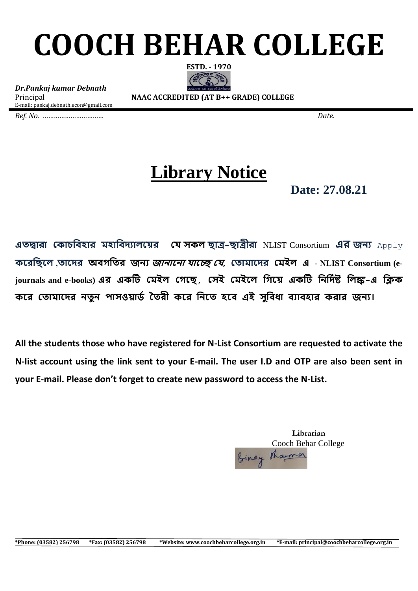## **COOCH BEHAR COLLEGE**



*Dr.Pankaj kumar Debnath* E-mail: pankaj.debnath.econ@gmail.com

Principal **NAAC ACCREDITED (AT B++ GRADE) COLLEGE**

*Ref. No. …………………………… Date.* 

## **Library Notice**

 **Date: 27.08.21**

**এতদ্বারা ক াচবিহার মহাবিদ্যালয়ের যে সকল ছাত্র-ছাত্রীরা** NLIST Consortium **এর জন্য** Apply **কররছিরল ,তায়দ্র অবগছির জন্য জান্ারন্া োরে যে, কতামায়দ্র কমইল এ** - **NLIST Consortium (ejournals and e-books) এর এ টি কমইল কেয়ছ, কেই কমইয়ল বেয়ে এ টি বিবদ্িষ্ট বলঙ্ক-এ বি য়র কতামায়দ্র িতুি পােওোর্ি ততরী য়র বিয়ত হয়ি এই েুবিধা িযািহার রার জিয।**

**All the students those who have registered for N-List Consortium are requested to activate the N-list account using the link sent to your E-mail. The user I.D and OTP are also been sent in your E-mail. Please don't forget to create new password to access the N-List.**

> **Librarian** Cooch Behar College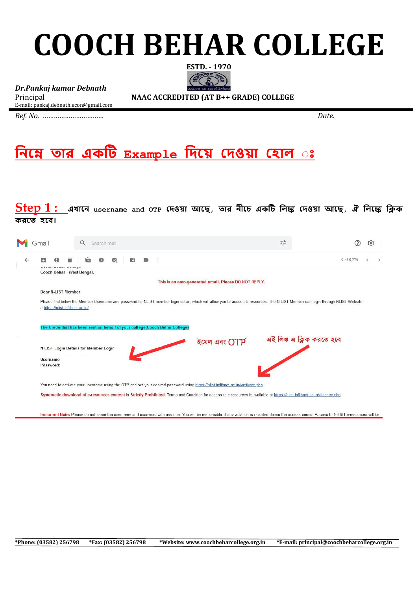## **COOCH BEHAR COLLEGE**



*Dr.Pankaj kumar Debnath* E-mail: pankaj.debnath.econ@gmail.com

Principal **NAAC ACCREDITED (AT B++ GRADE) COLLEGE**

*Ref. No. …………………………… Date.* 

**বিয়ে তার এ টি Example বদ্য়ে কদ্ওো কহাল ঃ** 

**Step 1 : এখায়ি username and OTP কদ্ওো আয়ছ, তার িীয়চ এ টি বলঙ্ক কদ্ওো আয়ছ, <sup>ঐ</sup> বলয়ঙ্ক বি রয়ত হয়ি।**

|              | Gmail                                                                                                                             | Q | Search mail |   |  |                                                                                                                                                                                 | 괉 |                           |  |  |  |
|--------------|-----------------------------------------------------------------------------------------------------------------------------------|---|-------------|---|--|---------------------------------------------------------------------------------------------------------------------------------------------------------------------------------|---|---------------------------|--|--|--|
| $\leftarrow$ | о                                                                                                                                 |   | Ø.          | D |  |                                                                                                                                                                                 |   | 9 of 5,779                |  |  |  |
|              | Cooch Behar - West Bengal.                                                                                                        |   |             |   |  |                                                                                                                                                                                 |   |                           |  |  |  |
|              |                                                                                                                                   |   |             |   |  | This is an auto-generated email. Please DO NOT REPLY.                                                                                                                           |   |                           |  |  |  |
|              | Dear N-LIST Member                                                                                                                |   |             |   |  |                                                                                                                                                                                 |   |                           |  |  |  |
|              | athttps://nlist.inflibnet.ac.in/                                                                                                  |   |             |   |  | Please find below the Member Username and password for NLIST member login detail, which will allow you to access E-resources. The N-LIST Member can login through NLIST Website |   |                           |  |  |  |
|              | The Credential has been sent on behalf of your college(Cooch Behar College)                                                       |   |             |   |  |                                                                                                                                                                                 |   |                           |  |  |  |
|              | <b>N-LIST Login Details for Member Login</b>                                                                                      |   |             |   |  | ইমেল এবং OTP                                                                                                                                                                    |   | এই লিঙ্ক এ ক্লিক করতে হবে |  |  |  |
|              | Username:                                                                                                                         |   |             |   |  |                                                                                                                                                                                 |   |                           |  |  |  |
|              | Password:                                                                                                                         |   |             |   |  |                                                                                                                                                                                 |   |                           |  |  |  |
|              | You need to activate your username using the OTP and set your desired password using https://nlist.inflibnet.ac.in/vactivate.php. |   |             |   |  |                                                                                                                                                                                 |   |                           |  |  |  |
|              |                                                                                                                                   |   |             |   |  | Systematic download of e-resources content is Strictly Prohibited. Terms and Condition for access to e-resources is available at https://nlist.inflibnet.ac.in/vlicence.php     |   |                           |  |  |  |

Important Note: Please do not share the username and password with any one. You will be responsible, if any violation is reported during the access period. Access to N-LIST e-resources will be